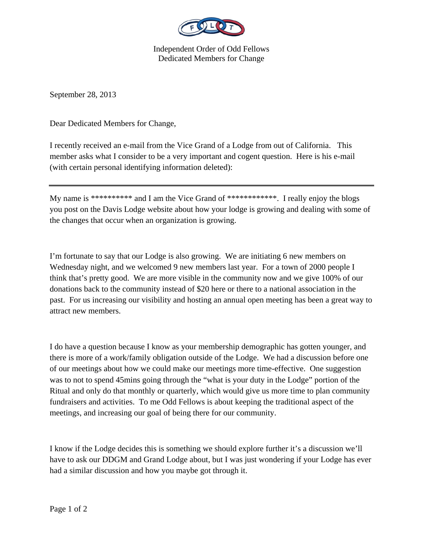

Independent Order of Odd Fellows Dedicated Members for Change

September 28, 2013

Dear Dedicated Members for Change,

I recently received an e-mail from the Vice Grand of a Lodge from out of California. This member asks what I consider to be a very important and cogent question. Here is his e-mail (with certain personal identifying information deleted):

My name is \*\*\*\*\*\*\*\*\*\*\* and I am the Vice Grand of \*\*\*\*\*\*\*\*\*\*\*\*\*. I really enjoy the blogs you post on the Davis Lodge website about how your lodge is growing and dealing with some of the changes that occur when an organization is growing.

I'm fortunate to say that our Lodge is also growing. We are initiating 6 new members on Wednesday night, and we welcomed 9 new members last year. For a town of 2000 people I think that's pretty good. We are more visible in the community now and we give 100% of our donations back to the community instead of \$20 here or there to a national association in the past. For us increasing our visibility and hosting an annual open meeting has been a great way to attract new members.

I do have a question because I know as your membership demographic has gotten younger, and there is more of a work/family obligation outside of the Lodge. We had a discussion before one of our meetings about how we could make our meetings more time-effective. One suggestion was to not to spend 45mins going through the "what is your duty in the Lodge" portion of the Ritual and only do that monthly or quarterly, which would give us more time to plan community fundraisers and activities. To me Odd Fellows is about keeping the traditional aspect of the meetings, and increasing our goal of being there for our community.

I know if the Lodge decides this is something we should explore further it's a discussion we'll have to ask our DDGM and Grand Lodge about, but I was just wondering if your Lodge has ever had a similar discussion and how you maybe got through it.